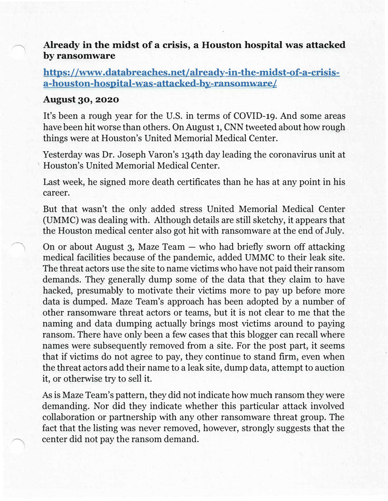## **Already in the midst of a crisis, a Houston hospital was attacked by ransomware**

## **https: //www .databreaches.net/already-in-the-midst-of-a-crisisa-houston-hospital-was-attacked-by-ransomware/**

## **August 30, 2020**

It's been a rough year for the U.S. in terms of COVID-19. And some areas have been hit worse than others. On August 1, CNN tweeted about how rough things were at Houston's United Memorial Medical Center.

Yesterday was Dr. Joseph Varon's 134th day leading the coronavirus unit at Houston's United Memorial Medical Center.

Last week, he signed more death certificates than he has at any point in his career.

But that wasn't the only added stress United Memorial Medical Center (UMMC) was dealing with. Although details are still sketchy, it appears that the Houston medical center also got hit with ransomware at the end of July.

On or about August 3, Maze Team  $-$  who had briefly sworn off attacking medical facilities because of the pandemic, added UMMC to their leak site. The threat actors use the site to name victims who have not paid their ransom demands. They generally dump some of the data that they claim to have hacked, presumably to motivate their victims more to pay up before more data is dumped. Maze Team's approach has been adopted by a number of other ransomware threat actors or teams, but it is not clear to me that the naming and data dumping actually brings most victims around to paying ransom. There have only been a few cases that this blogger can recall where names were subsequently removed from a site. For the post part, it seems that if victims do not agree to pay, they continue to stand firm, even when the threat actors add their name to a leak site, dump data, attempt to auction it, or otherwise try to sell it.

As is Maze Team's pattern, they did not indicate how much ransom they were demanding. Nor did they indicate whether this particular attack involved collaboration or partnership with any other ransomware threat group. The fact that the listing was never removed, however, strongly suggests that the center did not pay the ransom demand.